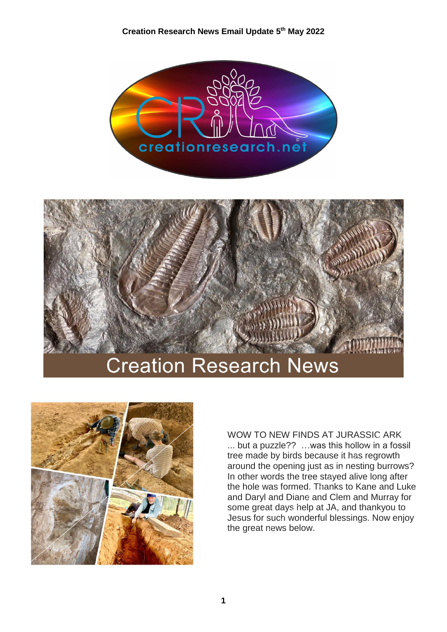





WOW TO NEW FINDS AT JURASSIC ARK ... but a puzzle?? …was this hollow in a fossil tree made by birds because it has regrowth around the opening just as in nesting burrows? In other words the tree stayed alive long after the hole was formed. Thanks to Kane and Luke and Daryl and Diane and Clem and Murray for some great days help at JA, and thankyou to Jesus for such wonderful blessings. Now enjoy the great news below.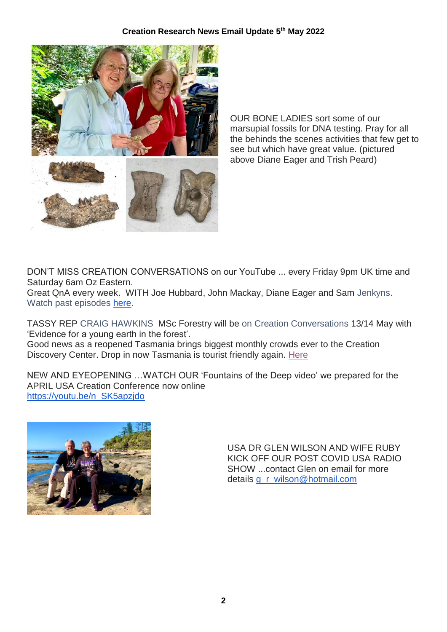

OUR BONE LADIES sort some of our marsupial fossils for DNA testing. Pray for all the behinds the scenes activities that few get to see but which have great value. (pictured above Diane Eager and Trish Peard)

DON'T MISS CREATION CONVERSATIONS on our YouTube ... every Friday 9pm UK time and Saturday 6am Oz Eastern.

Great QnA every week. WITH Joe Hubbard, John Mackay, Diane Eager and Sam Jenkyns. Watch past episodes [here.](https://nam12.safelinks.protection.outlook.com/?url=https%3A%2F%2Fwww.youtube.com%2Fplaylist%3Flist%3DPLaMJ4ffBY88DJUs39e9VsImoj_qBYvP9W&data=05%7C01%7C%7C115fca1313a6411028db08da2e373df2%7C84df9e7fe9f640afb435aaaaaaaaaaaa%7C1%7C0%7C637873112068643786%7CUnknown%7CTWFpbGZsb3d8eyJWIjoiMC4wLjAwMDAiLCJQIjoiV2luMzIiLCJBTiI6Ik1haWwiLCJXVCI6Mn0%3D%7C3000%7C%7C%7C&sdata=0KnsHW9s2kIlE5ggHQFmowRtqj4wdcDLMxxQ3hxNcio%3D&reserved=0)

TASSY REP CRAIG HAWKINS MSc Forestry will be on Creation Conversations 13/14 May with 'Evidence for a young earth in the forest'.

Good news as a reopened Tasmania brings biggest monthly crowds ever to the Creation Discovery Center. Drop in now Tasmania is tourist friendly again. [Here](https://creationresearch.net/events-itinerary/creation-discovery-centre-tasmania/) 

NEW AND EYEOPENING …WATCH OUR 'Fountains of the Deep video' we prepared for the APRIL USA Creation Conference now online [https://youtu.be/n\\_SK5apzjdo](https://nam12.safelinks.protection.outlook.com/?url=https%3A%2F%2Fyoutu.be%2Fn_SK5apzjdo&data=05%7C01%7C%7C115fca1313a6411028db08da2e373df2%7C84df9e7fe9f640afb435aaaaaaaaaaaa%7C1%7C0%7C637873112068643786%7CUnknown%7CTWFpbGZsb3d8eyJWIjoiMC4wLjAwMDAiLCJQIjoiV2luMzIiLCJBTiI6Ik1haWwiLCJXVCI6Mn0%3D%7C3000%7C%7C%7C&sdata=ifs97fSN4%2F5ZWbcG6XgxBjR91ZOApRkbkIEsoiA%2B6DY%3D&reserved=0) 



USA DR GLEN WILSON AND WIFE RUBY KICK OFF OUR POST COVID USA RADIO SHOW ...contact Glen on email for more details **[g\\_r\\_wilson@hotmail.com](mailto:g_r_wilson@hotmail.com)**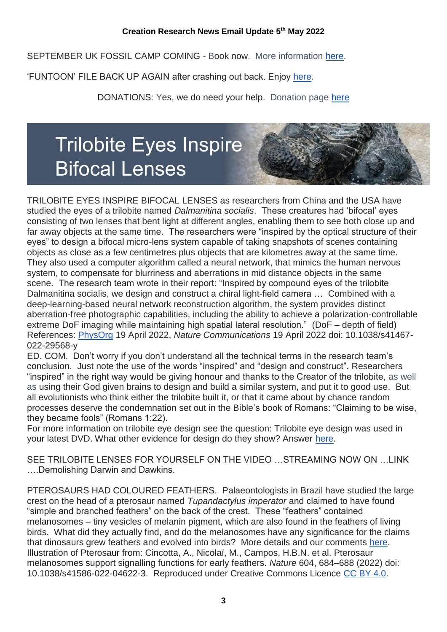SEPTEMBER UK FOSSIL CAMP COMING - Book now. More information [here.](https://nam12.safelinks.protection.outlook.com/?url=https%3A%2F%2Fcreationresearchcentre.com%2Fthe-rocks-cry-out-uk-convention%2F&data=05%7C01%7C%7C115fca1313a6411028db08da2e373df2%7C84df9e7fe9f640afb435aaaaaaaaaaaa%7C1%7C0%7C637873112068643786%7CUnknown%7CTWFpbGZsb3d8eyJWIjoiMC4wLjAwMDAiLCJQIjoiV2luMzIiLCJBTiI6Ik1haWwiLCJXVCI6Mn0%3D%7C3000%7C%7C%7C&sdata=6Nlma8Vtdis99tPHh%2FVxA0u4QTVG2QgVf0smC%2FMYoJw%3D&reserved=0)

'FUNTOON' FILE BACK UP AGAIN after crashing out back. Enjoy [here.](https://nam12.safelinks.protection.outlook.com/?url=https%3A%2F%2Fcreationresearch.net%2Fabout%2Fthe-funny-side-toons%2F&data=05%7C01%7C%7C115fca1313a6411028db08da2e373df2%7C84df9e7fe9f640afb435aaaaaaaaaaaa%7C1%7C0%7C637873112068643786%7CUnknown%7CTWFpbGZsb3d8eyJWIjoiMC4wLjAwMDAiLCJQIjoiV2luMzIiLCJBTiI6Ik1haWwiLCJXVCI6Mn0%3D%7C3000%7C%7C%7C&sdata=fVTnOie1p21oXJqdCdlmCcXw9EVCOyInYzQ9bdzYGWA%3D&reserved=0)

DONATIONS: Yes, we do need your help. Donation page [here](https://nam12.safelinks.protection.outlook.com/?url=https%3A%2F%2Fcreationresearchshop.net.au%2Fdonations%2F&data=05%7C01%7C%7C115fca1313a6411028db08da2e373df2%7C84df9e7fe9f640afb435aaaaaaaaaaaa%7C1%7C0%7C637873112068643786%7CUnknown%7CTWFpbGZsb3d8eyJWIjoiMC4wLjAwMDAiLCJQIjoiV2luMzIiLCJBTiI6Ik1haWwiLCJXVCI6Mn0%3D%7C3000%7C%7C%7C&sdata=YOvufoTg3iJ0FiGIdWNbg1gGulH97BzrNax9otCrtlw%3D&reserved=0)

## **Trilobite Eyes Inspire Bifocal Lenses**

TRILOBITE EYES INSPIRE BIFOCAL LENSES as researchers from China and the USA have studied the eyes of a trilobite named *Dalmanitina socialis*. These creatures had 'bifocal' eyes consisting of two lenses that bent light at different angles, enabling them to see both close up and far away objects at the same time. The researchers were "inspired by the optical structure of their eyes" to design a bifocal micro-lens system capable of taking snapshots of scenes containing objects as close as a few centimetres plus objects that are kilometres away at the same time. They also used a computer algorithm called a neural network, that mimics the human nervous system, to compensate for blurriness and aberrations in mid distance objects in the same scene. The research team wrote in their report: "Inspired by compound eyes of the trilobite Dalmanitina socialis, we design and construct a chiral light-field camera … Combined with a deep-learning-based neural network reconstruction algorithm, the system provides distinct aberration-free photographic capabilities, including the ability to achieve a polarization-controllable extreme DoF imaging while maintaining high spatial lateral resolution." (DoF – depth of field) References: [PhysOrg](https://nam12.safelinks.protection.outlook.com/?url=https%3A%2F%2Fphys.org%2Fnews%2F2022-04-prehistoric-creatures-record-setting-lenses.html&data=05%7C01%7C%7C115fca1313a6411028db08da2e373df2%7C84df9e7fe9f640afb435aaaaaaaaaaaa%7C1%7C0%7C637873112068643786%7CUnknown%7CTWFpbGZsb3d8eyJWIjoiMC4wLjAwMDAiLCJQIjoiV2luMzIiLCJBTiI6Ik1haWwiLCJXVCI6Mn0%3D%7C3000%7C%7C%7C&sdata=yHk7bQo2YKkJ5VFUR1TGseu09FL5S55eGFt1K12x8gk%3D&reserved=0) 19 April 2022, *Nature Communications* 19 April 2022 doi: 10.1038/s41467- 022-29568-y

ED. COM. Don't worry if you don't understand all the technical terms in the research team's conclusion. Just note the use of the words "inspired" and "design and construct". Researchers "inspired" in the right way would be giving honour and thanks to the Creator of the trilobite, as well as using their God given brains to design and build a similar system, and put it to good use. But all evolutionists who think either the trilobite built it, or that it came about by chance random processes deserve the condemnation set out in the Bible's book of Romans: "Claiming to be wise, they became fools" (Romans 1:22).

For more information on trilobite eye design see the question: Trilobite eye design was used in your latest DVD. What other evidence for design do they show? Answer [here.](https://nam12.safelinks.protection.outlook.com/?url=https%3A%2F%2Faskjohnmackay.com%2Ftrilobite-eye-design-used-in-your-dvd-what-other-evidence-for-design%2F&data=05%7C01%7C%7C115fca1313a6411028db08da2e373df2%7C84df9e7fe9f640afb435aaaaaaaaaaaa%7C1%7C0%7C637873112068643786%7CUnknown%7CTWFpbGZsb3d8eyJWIjoiMC4wLjAwMDAiLCJQIjoiV2luMzIiLCJBTiI6Ik1haWwiLCJXVCI6Mn0%3D%7C3000%7C%7C%7C&sdata=e6XfuJHF4ssGP5vp50yASTHQvCzA7Z1SfdNJ0Tq2Jjc%3D&reserved=0)

SEE TRILOBITE LENSES FOR YOURSELF ON THE VIDEO STREAMING NOW ON LINK ….Demolishing Darwin and Dawkins.

PTEROSAURS HAD COLOURED FEATHERS. Palaeontologists in Brazil have studied the large crest on the head of a pterosaur named *Tupandactylus imperator* and claimed to have found "simple and branched feathers" on the back of the crest. These "feathers" contained melanosomes – tiny vesicles of melanin pigment, which are also found in the feathers of living birds. What did they actually find, and do the melanosomes have any significance for the claims that dinosaurs grew feathers and evolved into birds? More details and our comments [here.](https://nam12.safelinks.protection.outlook.com/?url=https%3A%2F%2Fcreationfactfile.com%2F6532%2Fpterosaurs-had-coloured-feathers%2F&data=05%7C01%7C%7C115fca1313a6411028db08da2e373df2%7C84df9e7fe9f640afb435aaaaaaaaaaaa%7C1%7C0%7C637873112068643786%7CUnknown%7CTWFpbGZsb3d8eyJWIjoiMC4wLjAwMDAiLCJQIjoiV2luMzIiLCJBTiI6Ik1haWwiLCJXVCI6Mn0%3D%7C3000%7C%7C%7C&sdata=wCoZcpcUoRJ8lbYTNu3f%2BwYJYjs5BdgJ9%2Ffo1xa0Urw%3D&reserved=0) Illustration of Pterosaur from: Cincotta, A., Nicolaï, M., Campos, H.B.N. et al. Pterosaur melanosomes support signalling functions for early feathers. *Nature* 604, 684–688 (2022) doi: 10.1038/s41586-022-04622-3. Reproduced under Creative Commons Licence [CC BY 4.0.](https://nam12.safelinks.protection.outlook.com/?url=https%3A%2F%2Fcreativecommons.org%2Flicenses%2Fby%2F4.0%2F&data=05%7C01%7C%7C115fca1313a6411028db08da2e373df2%7C84df9e7fe9f640afb435aaaaaaaaaaaa%7C1%7C0%7C637873112068643786%7CUnknown%7CTWFpbGZsb3d8eyJWIjoiMC4wLjAwMDAiLCJQIjoiV2luMzIiLCJBTiI6Ik1haWwiLCJXVCI6Mn0%3D%7C3000%7C%7C%7C&sdata=1aRcfjrtuPzC1yhLkPnx1uP6igY6AFJ2j14jzbFiq8A%3D&reserved=0)